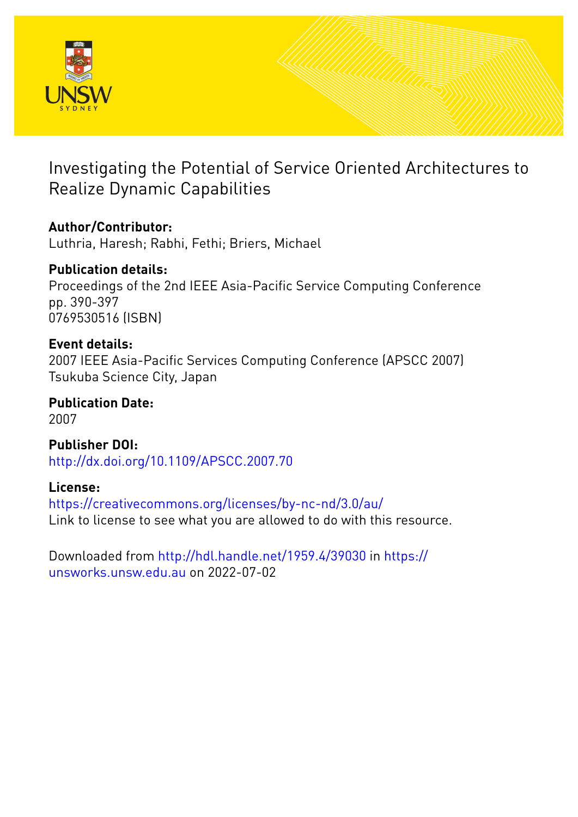

Investigating the Potential of Service Oriented Architectures to Realize Dynamic Capabilities

**Author/Contributor:** Luthria, Haresh; Rabhi, Fethi; Briers, Michael

**Publication details:** Proceedings of the 2nd IEEE Asia-Pacific Service Computing Conference pp. 390-397 0769530516 (ISBN)

**Event details:** 2007 IEEE Asia-Pacific Services Computing Conference (APSCC 2007) Tsukuba Science City, Japan

**Publication Date:** 2007

**Publisher DOI:** [http://dx.doi.org/10.1109/APSCC.2007.70](http://dx.doi.org/http://dx.doi.org/10.1109/APSCC.2007.70)

**License:** <https://creativecommons.org/licenses/by-nc-nd/3.0/au/> Link to license to see what you are allowed to do with this resource.

Downloaded from <http://hdl.handle.net/1959.4/39030> in [https://](https://unsworks.unsw.edu.au) [unsworks.unsw.edu.au](https://unsworks.unsw.edu.au) on 2022-07-02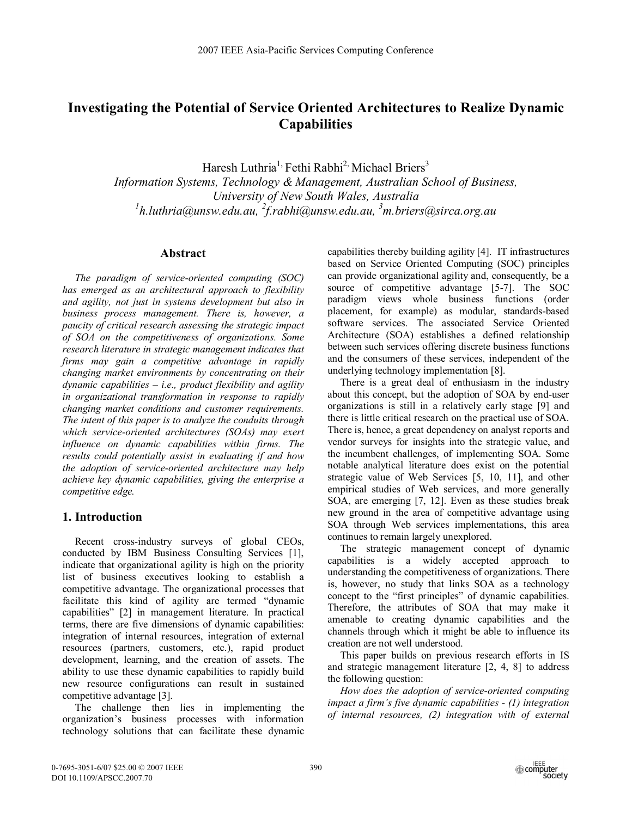# **Investigating the Potential of Service Oriented Architectures to Realize Dynamic Capabilities**

Haresh Luthria<sup>1,</sup> Fethi Rabhi<sup>2,</sup> Michael Briers<sup>3</sup> *Information Systems, Technology & Management, Australian School of Business, University of New South Wales, Australia 1 h.luthria@unsw.edu.au, <sup>2</sup> f.rabhi@unsw.edu.au, <sup>3</sup> m.briers@sirca.org.au* 

#### **Abstract**

*The paradigm of service-oriented computing (SOC) has emerged as an architectural approach to flexibility and agility, not just in systems development but also in business process management. There is, however, a paucity of critical research assessing the strategic impact of SOA on the competitiveness of organizations. Some research literature in strategic management indicates that firms may gain a competitive advantage in rapidly changing market environments by concentrating on their dynamic capabilities – i.e., product flexibility and agility in organizational transformation in response to rapidly changing market conditions and customer requirements. The intent of this paper is to analyze the conduits through which service-oriented architectures (SOAs) may exert influence on dynamic capabilities within firms. The results could potentially assist in evaluating if and how the adoption of service-oriented architecture may help achieve key dynamic capabilities, giving the enterprise a competitive edge.* 

# **1. Introduction**

Recent cross-industry surveys of global CEOs, conducted by IBM Business Consulting Services [1], indicate that organizational agility is high on the priority list of business executives looking to establish a competitive advantage. The organizational processes that facilitate this kind of agility are termed "dynamic capabilities" [2] in management literature. In practical terms, there are five dimensions of dynamic capabilities: integration of internal resources, integration of external resources (partners, customers, etc.), rapid product development, learning, and the creation of assets. The ability to use these dynamic capabilities to rapidly build new resource configurations can result in sustained competitive advantage [3].

The challenge then lies in implementing the organization's business processes with information technology solutions that can facilitate these dynamic capabilities thereby building agility [4]. IT infrastructures based on Service Oriented Computing (SOC) principles can provide organizational agility and, consequently, be a source of competitive advantage [5-7]. The SOC paradigm views whole business functions (order placement, for example) as modular, standards-based software services. The associated Service Oriented Architecture (SOA) establishes a defined relationship between such services offering discrete business functions and the consumers of these services, independent of the underlying technology implementation [8].

There is a great deal of enthusiasm in the industry about this concept, but the adoption of SOA by end-user organizations is still in a relatively early stage [9] and there is little critical research on the practical use of SOA. There is, hence, a great dependency on analyst reports and vendor surveys for insights into the strategic value, and the incumbent challenges, of implementing SOA. Some notable analytical literature does exist on the potential strategic value of Web Services [5, 10, 11], and other empirical studies of Web services, and more generally SOA, are emerging [7, 12]. Even as these studies break new ground in the area of competitive advantage using SOA through Web services implementations, this area continues to remain largely unexplored.

The strategic management concept of dynamic capabilities is a widely accepted approach to understanding the competitiveness of organizations. There is, however, no study that links SOA as a technology concept to the "first principles" of dynamic capabilities. Therefore, the attributes of SOA that may make it amenable to creating dynamic capabilities and the channels through which it might be able to influence its creation are not well understood.

This paper builds on previous research efforts in IS and strategic management literature [2, 4, 8] to address the following question:

*How does the adoption of service-oriented computing impact a firm's five dynamic capabilities - (1) integration of internal resources, (2) integration with of external*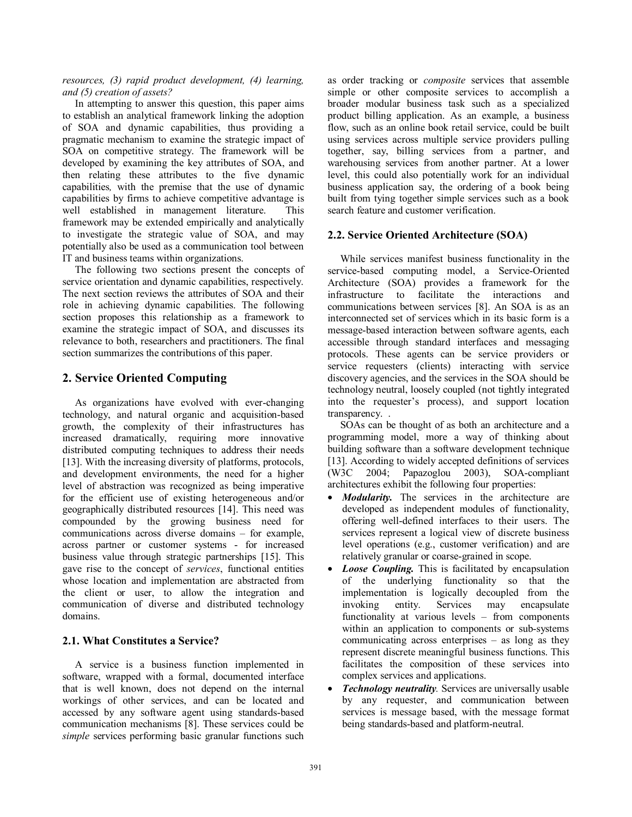*resources, (3) rapid product development, (4) learning, and (5) creation of assets?* 

In attempting to answer this question, this paper aims to establish an analytical framework linking the adoption of SOA and dynamic capabilities, thus providing a pragmatic mechanism to examine the strategic impact of SOA on competitive strategy. The framework will be developed by examining the key attributes of SOA, and then relating these attributes to the five dynamic capabilities*,* with the premise that the use of dynamic capabilities by firms to achieve competitive advantage is well established in management literature. This framework may be extended empirically and analytically to investigate the strategic value of SOA, and may potentially also be used as a communication tool between IT and business teams within organizations.

The following two sections present the concepts of service orientation and dynamic capabilities, respectively. The next section reviews the attributes of SOA and their role in achieving dynamic capabilities. The following section proposes this relationship as a framework to examine the strategic impact of SOA, and discusses its relevance to both, researchers and practitioners. The final section summarizes the contributions of this paper.

# **2. Service Oriented Computing**

As organizations have evolved with ever-changing technology, and natural organic and acquisition-based growth, the complexity of their infrastructures has increased dramatically, requiring more innovative distributed computing techniques to address their needs [13]. With the increasing diversity of platforms, protocols, and development environments, the need for a higher level of abstraction was recognized as being imperative for the efficient use of existing heterogeneous and/or geographically distributed resources [14]. This need was compounded by the growing business need for communications across diverse domains – for example, across partner or customer systems - for increased business value through strategic partnerships [15]. This gave rise to the concept of *services*, functional entities whose location and implementation are abstracted from the client or user, to allow the integration and communication of diverse and distributed technology domains.

# **2.1. What Constitutes a Service?**

A service is a business function implemented in software, wrapped with a formal, documented interface that is well known, does not depend on the internal workings of other services, and can be located and accessed by any software agent using standards-based communication mechanisms [8]. These services could be *simple* services performing basic granular functions such

as order tracking or *composite* services that assemble simple or other composite services to accomplish a broader modular business task such as a specialized product billing application. As an example, a business flow, such as an online book retail service, could be built using services across multiple service providers pulling together, say, billing services from a partner, and warehousing services from another partner. At a lower level, this could also potentially work for an individual business application say, the ordering of a book being built from tying together simple services such as a book search feature and customer verification.

# **2.2. Service Oriented Architecture (SOA)**

While services manifest business functionality in the service-based computing model, a Service-Oriented Architecture (SOA) provides a framework for the infrastructure to facilitate the interactions and communications between services [8]. An SOA is as an interconnected set of services which in its basic form is a message-based interaction between software agents, each accessible through standard interfaces and messaging protocols. These agents can be service providers or service requesters (clients) interacting with service discovery agencies, and the services in the SOA should be technology neutral, loosely coupled (not tightly integrated into the requester's process), and support location transparency. .

SOAs can be thought of as both an architecture and a programming model, more a way of thinking about building software than a software development technique [13]. According to widely accepted definitions of services (W3C 2004; Papazoglou 2003), SOA-compliant architectures exhibit the following four properties:

- *Modularity.* The services in the architecture are developed as independent modules of functionality, offering well-defined interfaces to their users. The services represent a logical view of discrete business level operations (e.g., customer verification) and are relatively granular or coarse-grained in scope.
- *Loose Coupling.* This is facilitated by encapsulation of the underlying functionality so that the implementation is logically decoupled from the invoking entity. Services may encapsulate functionality at various levels – from components within an application to components or sub-systems communicating across enterprises – as long as they represent discrete meaningful business functions. This facilitates the composition of these services into complex services and applications.
- *Technology neutrality.* Services are universally usable by any requester, and communication between services is message based, with the message format being standards-based and platform-neutral.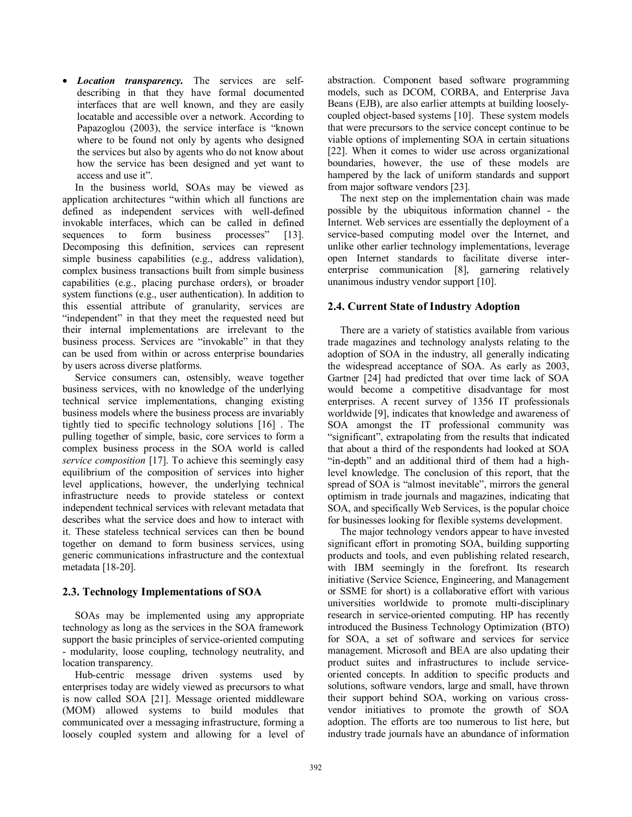• *Location transparency.* The services are selfdescribing in that they have formal documented interfaces that are well known, and they are easily locatable and accessible over a network. According to Papazoglou (2003), the service interface is "known where to be found not only by agents who designed the services but also by agents who do not know about how the service has been designed and yet want to access and use it".

In the business world, SOAs may be viewed as application architectures "within which all functions are defined as independent services with well-defined invokable interfaces, which can be called in defined sequences to form business processes" [13]. Decomposing this definition, services can represent simple business capabilities (e.g., address validation), complex business transactions built from simple business capabilities (e.g., placing purchase orders), or broader system functions (e.g., user authentication). In addition to this essential attribute of granularity, services are "independent" in that they meet the requested need but their internal implementations are irrelevant to the business process. Services are "invokable" in that they can be used from within or across enterprise boundaries by users across diverse platforms.

Service consumers can, ostensibly, weave together business services, with no knowledge of the underlying technical service implementations, changing existing business models where the business process are invariably tightly tied to specific technology solutions [16] . The pulling together of simple, basic, core services to form a complex business process in the SOA world is called *service composition* [17]. To achieve this seemingly easy equilibrium of the composition of services into higher level applications, however, the underlying technical infrastructure needs to provide stateless or context independent technical services with relevant metadata that describes what the service does and how to interact with it. These stateless technical services can then be bound together on demand to form business services, using generic communications infrastructure and the contextual metadata [18-20].

#### **2.3. Technology Implementations of SOA**

SOAs may be implemented using any appropriate technology as long as the services in the SOA framework support the basic principles of service-oriented computing - modularity, loose coupling, technology neutrality, and location transparency.

Hub-centric message driven systems used by enterprises today are widely viewed as precursors to what is now called SOA [21]. Message oriented middleware (MOM) allowed systems to build modules that communicated over a messaging infrastructure, forming a loosely coupled system and allowing for a level of

abstraction. Component based software programming models, such as DCOM, CORBA, and Enterprise Java Beans (EJB), are also earlier attempts at building looselycoupled object-based systems [10]. These system models that were precursors to the service concept continue to be viable options of implementing SOA in certain situations [22]. When it comes to wider use across organizational boundaries, however, the use of these models are hampered by the lack of uniform standards and support from major software vendors [23].

The next step on the implementation chain was made possible by the ubiquitous information channel - the Internet. Web services are essentially the deployment of a service-based computing model over the Internet, and unlike other earlier technology implementations, leverage open Internet standards to facilitate diverse interenterprise communication [8], garnering relatively unanimous industry vendor support [10].

### **2.4. Current State of Industry Adoption**

There are a variety of statistics available from various trade magazines and technology analysts relating to the adoption of SOA in the industry, all generally indicating the widespread acceptance of SOA. As early as 2003, Gartner [24] had predicted that over time lack of SOA would become a competitive disadvantage for most enterprises. A recent survey of 1356 IT professionals worldwide [9], indicates that knowledge and awareness of SOA amongst the IT professional community was "significant", extrapolating from the results that indicated that about a third of the respondents had looked at SOA "in-depth" and an additional third of them had a highlevel knowledge. The conclusion of this report, that the spread of SOA is "almost inevitable", mirrors the general optimism in trade journals and magazines, indicating that SOA, and specifically Web Services, is the popular choice for businesses looking for flexible systems development.

The major technology vendors appear to have invested significant effort in promoting SOA, building supporting products and tools, and even publishing related research, with IBM seemingly in the forefront. Its research initiative (Service Science, Engineering, and Management or SSME for short) is a collaborative effort with various universities worldwide to promote multi-disciplinary research in service-oriented computing. HP has recently introduced the Business Technology Optimization (BTO) for SOA, a set of software and services for service management. Microsoft and BEA are also updating their product suites and infrastructures to include serviceoriented concepts. In addition to specific products and solutions, software vendors, large and small, have thrown their support behind SOA, working on various crossvendor initiatives to promote the growth of SOA adoption. The efforts are too numerous to list here, but industry trade journals have an abundance of information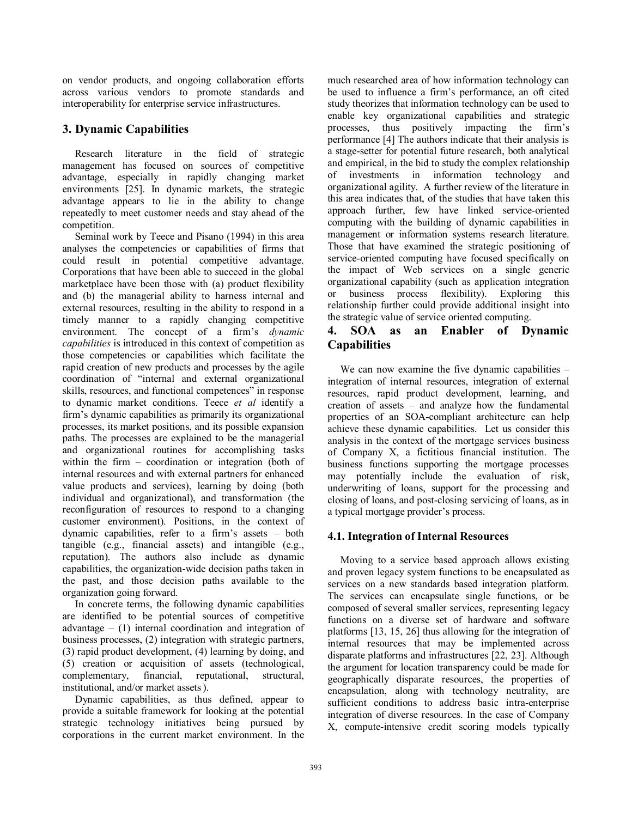on vendor products, and ongoing collaboration efforts across various vendors to promote standards and interoperability for enterprise service infrastructures.

# **3. Dynamic Capabilities**

Research literature in the field of strategic management has focused on sources of competitive advantage, especially in rapidly changing market environments [25]. In dynamic markets, the strategic advantage appears to lie in the ability to change repeatedly to meet customer needs and stay ahead of the competition.

Seminal work by Teece and Pisano (1994) in this area analyses the competencies or capabilities of firms that could result in potential competitive advantage. Corporations that have been able to succeed in the global marketplace have been those with (a) product flexibility and (b) the managerial ability to harness internal and external resources, resulting in the ability to respond in a timely manner to a rapidly changing competitive environment. The concept of a firm's *dynamic capabilities* is introduced in this context of competition as those competencies or capabilities which facilitate the rapid creation of new products and processes by the agile coordination of "internal and external organizational skills, resources, and functional competences" in response to dynamic market conditions. Teece *et al* identify a firm's dynamic capabilities as primarily its organizational processes, its market positions, and its possible expansion paths. The processes are explained to be the managerial and organizational routines for accomplishing tasks within the firm – coordination or integration (both of internal resources and with external partners for enhanced value products and services), learning by doing (both individual and organizational), and transformation (the reconfiguration of resources to respond to a changing customer environment). Positions, in the context of dynamic capabilities, refer to a firm's assets – both tangible (e.g., financial assets) and intangible (e.g., reputation). The authors also include as dynamic capabilities, the organization-wide decision paths taken in the past, and those decision paths available to the organization going forward.

In concrete terms, the following dynamic capabilities are identified to be potential sources of competitive advantage  $-$  (1) internal coordination and integration of business processes, (2) integration with strategic partners, (3) rapid product development, (4) learning by doing, and (5) creation or acquisition of assets (technological, complementary, financial, reputational, structural, institutional, and/or market assets).

Dynamic capabilities, as thus defined, appear to provide a suitable framework for looking at the potential strategic technology initiatives being pursued by corporations in the current market environment. In the much researched area of how information technology can be used to influence a firm's performance, an oft cited study theorizes that information technology can be used to enable key organizational capabilities and strategic processes, thus positively impacting the firm's performance [4] The authors indicate that their analysis is a stage-setter for potential future research, both analytical and empirical, in the bid to study the complex relationship of investments in information technology and organizational agility. A further review of the literature in this area indicates that, of the studies that have taken this approach further, few have linked service-oriented computing with the building of dynamic capabilities in management or information systems research literature. Those that have examined the strategic positioning of service-oriented computing have focused specifically on the impact of Web services on a single generic organizational capability (such as application integration or business process flexibility). Exploring this relationship further could provide additional insight into the strategic value of service oriented computing.

# **4. SOA as an Enabler of Dynamic Capabilities**

We can now examine the five dynamic capabilities – integration of internal resources, integration of external resources, rapid product development, learning, and creation of assets – and analyze how the fundamental properties of an SOA-compliant architecture can help achieve these dynamic capabilities. Let us consider this analysis in the context of the mortgage services business of Company X, a fictitious financial institution. The business functions supporting the mortgage processes may potentially include the evaluation of risk, underwriting of loans, support for the processing and closing of loans, and post-closing servicing of loans, as in a typical mortgage provider's process.

# **4.1. Integration of Internal Resources**

Moving to a service based approach allows existing and proven legacy system functions to be encapsulated as services on a new standards based integration platform. The services can encapsulate single functions, or be composed of several smaller services, representing legacy functions on a diverse set of hardware and software platforms [13, 15, 26] thus allowing for the integration of internal resources that may be implemented across disparate platforms and infrastructures [22, 23]. Although the argument for location transparency could be made for geographically disparate resources, the properties of encapsulation, along with technology neutrality, are sufficient conditions to address basic intra-enterprise integration of diverse resources. In the case of Company X, compute-intensive credit scoring models typically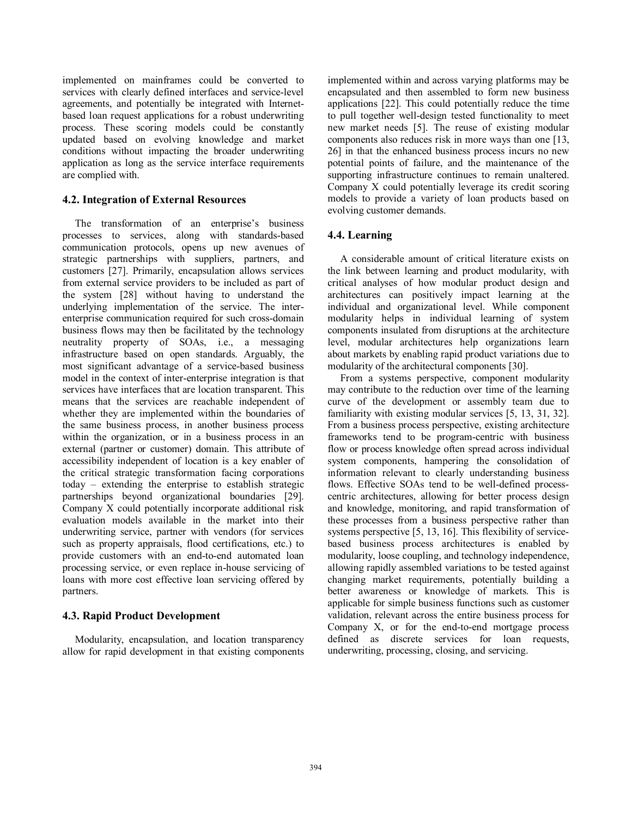implemented on mainframes could be converted to services with clearly defined interfaces and service-level agreements, and potentially be integrated with Internetbased loan request applications for a robust underwriting process. These scoring models could be constantly updated based on evolving knowledge and market conditions without impacting the broader underwriting application as long as the service interface requirements are complied with.

#### **4.2. Integration of External Resources**

The transformation of an enterprise's business processes to services, along with standards-based communication protocols, opens up new avenues of strategic partnerships with suppliers, partners, and customers [27]. Primarily, encapsulation allows services from external service providers to be included as part of the system [28] without having to understand the underlying implementation of the service. The interenterprise communication required for such cross-domain business flows may then be facilitated by the technology neutrality property of SOAs, i.e., a messaging infrastructure based on open standards. Arguably, the most significant advantage of a service-based business model in the context of inter-enterprise integration is that services have interfaces that are location transparent. This means that the services are reachable independent of whether they are implemented within the boundaries of the same business process, in another business process within the organization, or in a business process in an external (partner or customer) domain. This attribute of accessibility independent of location is a key enabler of the critical strategic transformation facing corporations today – extending the enterprise to establish strategic partnerships beyond organizational boundaries [29]. Company X could potentially incorporate additional risk evaluation models available in the market into their underwriting service, partner with vendors (for services such as property appraisals, flood certifications, etc.) to provide customers with an end-to-end automated loan processing service, or even replace in-house servicing of loans with more cost effective loan servicing offered by partners.

#### **4.3. Rapid Product Development**

Modularity, encapsulation, and location transparency allow for rapid development in that existing components implemented within and across varying platforms may be encapsulated and then assembled to form new business applications [22]. This could potentially reduce the time to pull together well-design tested functionality to meet new market needs [5]. The reuse of existing modular components also reduces risk in more ways than one [13, 26] in that the enhanced business process incurs no new potential points of failure, and the maintenance of the supporting infrastructure continues to remain unaltered. Company X could potentially leverage its credit scoring models to provide a variety of loan products based on evolving customer demands.

#### **4.4. Learning**

A considerable amount of critical literature exists on the link between learning and product modularity, with critical analyses of how modular product design and architectures can positively impact learning at the individual and organizational level. While component modularity helps in individual learning of system components insulated from disruptions at the architecture level, modular architectures help organizations learn about markets by enabling rapid product variations due to modularity of the architectural components [30].

From a systems perspective, component modularity may contribute to the reduction over time of the learning curve of the development or assembly team due to familiarity with existing modular services [5, 13, 31, 32]. From a business process perspective, existing architecture frameworks tend to be program-centric with business flow or process knowledge often spread across individual system components, hampering the consolidation of information relevant to clearly understanding business flows. Effective SOAs tend to be well-defined processcentric architectures, allowing for better process design and knowledge, monitoring, and rapid transformation of these processes from a business perspective rather than systems perspective [5, 13, 16]. This flexibility of servicebased business process architectures is enabled by modularity, loose coupling, and technology independence, allowing rapidly assembled variations to be tested against changing market requirements, potentially building a better awareness or knowledge of markets. This is applicable for simple business functions such as customer validation, relevant across the entire business process for Company X, or for the end-to-end mortgage process defined as discrete services for loan requests, underwriting, processing, closing, and servicing.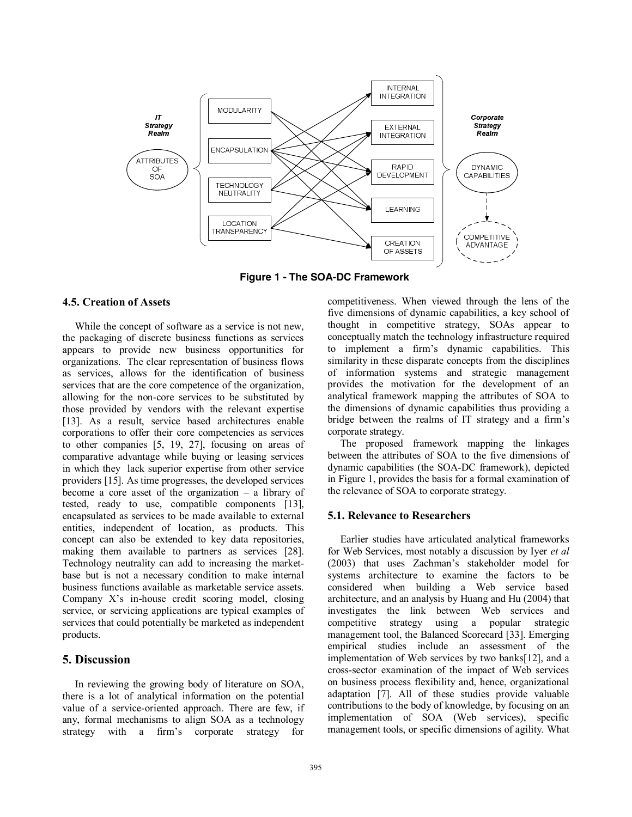

**Figure 1 - The SOA-DC Framework** 

#### **4.5. Creation of Assets**

While the concept of software as a service is not new, the packaging of discrete business functions as services appears to provide new business opportunities for organizations. The clear representation of business flows as services, allows for the identification of business services that are the core competence of the organization, allowing for the non-core services to be substituted by those provided by vendors with the relevant expertise [13]. As a result, service based architectures enable corporations to offer their core competencies as services to other companies [5, 19, 27], focusing on areas of comparative advantage while buying or leasing services in which they lack superior expertise from other service providers [15]. As time progresses, the developed services become a core asset of the organization – a library of tested, ready to use, compatible components [13], encapsulated as services to be made available to external entities, independent of location, as products. This concept can also be extended to key data repositories, making them available to partners as services [28]. Technology neutrality can add to increasing the marketbase but is not a necessary condition to make internal business functions available as marketable service assets. Company X's in-house credit scoring model, closing service, or servicing applications are typical examples of services that could potentially be marketed as independent products.

#### **5. Discussion**

In reviewing the growing body of literature on SOA, there is a lot of analytical information on the potential value of a service-oriented approach. There are few, if any, formal mechanisms to align SOA as a technology strategy with a firm's corporate strategy for

competitiveness. When viewed through the lens of the five dimensions of dynamic capabilities, a key school of thought in competitive strategy, SOAs appear to conceptually match the technology infrastructure required to implement a firm's dynamic capabilities. This similarity in these disparate concepts from the disciplines of information systems and strategic management provides the motivation for the development of an analytical framework mapping the attributes of SOA to the dimensions of dynamic capabilities thus providing a bridge between the realms of IT strategy and a firm's corporate strategy.

The proposed framework mapping the linkages between the attributes of SOA to the five dimensions of dynamic capabilities (the SOA-DC framework), depicted in Figure 1, provides the basis for a formal examination of the relevance of SOA to corporate strategy.

#### **5.1. Relevance to Researchers**

Earlier studies have articulated analytical frameworks for Web Services, most notably a discussion by Iyer *et al*  (2003) that uses Zachman's stakeholder model for systems architecture to examine the factors to be considered when building a Web service based architecture, and an analysis by Huang and Hu (2004) that investigates the link between Web services and competitive strategy using a popular strategic management tool, the Balanced Scorecard [33]. Emerging empirical studies include an assessment of the implementation of Web services by two banks[12], and a cross-sector examination of the impact of Web services on business process flexibility and, hence, organizational adaptation [7]. All of these studies provide valuable contributions to the body of knowledge, by focusing on an implementation of SOA (Web services), specific management tools, or specific dimensions of agility. What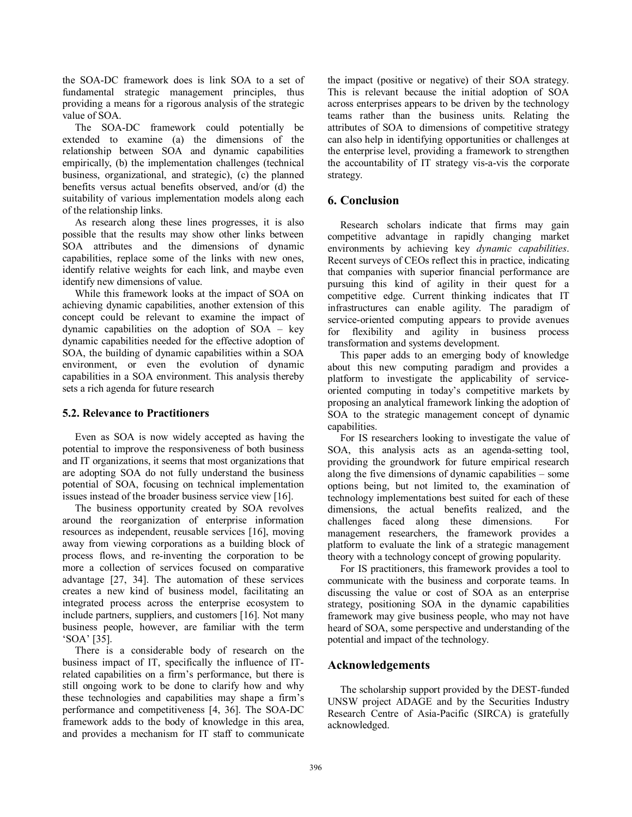the SOA-DC framework does is link SOA to a set of fundamental strategic management principles, thus providing a means for a rigorous analysis of the strategic value of SOA.

The SOA-DC framework could potentially be extended to examine (a) the dimensions of the relationship between SOA and dynamic capabilities empirically, (b) the implementation challenges (technical business, organizational, and strategic), (c) the planned benefits versus actual benefits observed, and/or (d) the suitability of various implementation models along each of the relationship links.

As research along these lines progresses, it is also possible that the results may show other links between SOA attributes and the dimensions of dynamic capabilities, replace some of the links with new ones, identify relative weights for each link, and maybe even identify new dimensions of value.

While this framework looks at the impact of SOA on achieving dynamic capabilities, another extension of this concept could be relevant to examine the impact of dynamic capabilities on the adoption of SOA – key dynamic capabilities needed for the effective adoption of SOA, the building of dynamic capabilities within a SOA environment, or even the evolution of dynamic capabilities in a SOA environment. This analysis thereby sets a rich agenda for future research

#### **5.2. Relevance to Practitioners**

Even as SOA is now widely accepted as having the potential to improve the responsiveness of both business and IT organizations, it seems that most organizations that are adopting SOA do not fully understand the business potential of SOA, focusing on technical implementation issues instead of the broader business service view [16].

The business opportunity created by SOA revolves around the reorganization of enterprise information resources as independent, reusable services [16], moving away from viewing corporations as a building block of process flows, and re-inventing the corporation to be more a collection of services focused on comparative advantage [27, 34]. The automation of these services creates a new kind of business model, facilitating an integrated process across the enterprise ecosystem to include partners, suppliers, and customers [16]. Not many business people, however, are familiar with the term 'SOA' [35].

There is a considerable body of research on the business impact of IT, specifically the influence of ITrelated capabilities on a firm's performance, but there is still ongoing work to be done to clarify how and why these technologies and capabilities may shape a firm's performance and competitiveness [4, 36]. The SOA-DC framework adds to the body of knowledge in this area, and provides a mechanism for IT staff to communicate the impact (positive or negative) of their SOA strategy. This is relevant because the initial adoption of SOA across enterprises appears to be driven by the technology teams rather than the business units. Relating the attributes of SOA to dimensions of competitive strategy can also help in identifying opportunities or challenges at the enterprise level, providing a framework to strengthen the accountability of IT strategy vis-a-vis the corporate strategy.

### **6. Conclusion**

Research scholars indicate that firms may gain competitive advantage in rapidly changing market environments by achieving key *dynamic capabilities*. Recent surveys of CEOs reflect this in practice, indicating that companies with superior financial performance are pursuing this kind of agility in their quest for a competitive edge. Current thinking indicates that IT infrastructures can enable agility. The paradigm of service-oriented computing appears to provide avenues for flexibility and agility in business process transformation and systems development.

This paper adds to an emerging body of knowledge about this new computing paradigm and provides a platform to investigate the applicability of serviceoriented computing in today's competitive markets by proposing an analytical framework linking the adoption of SOA to the strategic management concept of dynamic capabilities.

For IS researchers looking to investigate the value of SOA, this analysis acts as an agenda-setting tool, providing the groundwork for future empirical research along the five dimensions of dynamic capabilities – some options being, but not limited to, the examination of technology implementations best suited for each of these dimensions, the actual benefits realized, and the challenges faced along these dimensions. For management researchers, the framework provides a platform to evaluate the link of a strategic management theory with a technology concept of growing popularity.

For IS practitioners, this framework provides a tool to communicate with the business and corporate teams. In discussing the value or cost of SOA as an enterprise strategy, positioning SOA in the dynamic capabilities framework may give business people, who may not have heard of SOA, some perspective and understanding of the potential and impact of the technology.

# **Acknowledgements**

The scholarship support provided by the DEST-funded UNSW project ADAGE and by the Securities Industry Research Centre of Asia-Pacific (SIRCA) is gratefully acknowledged.